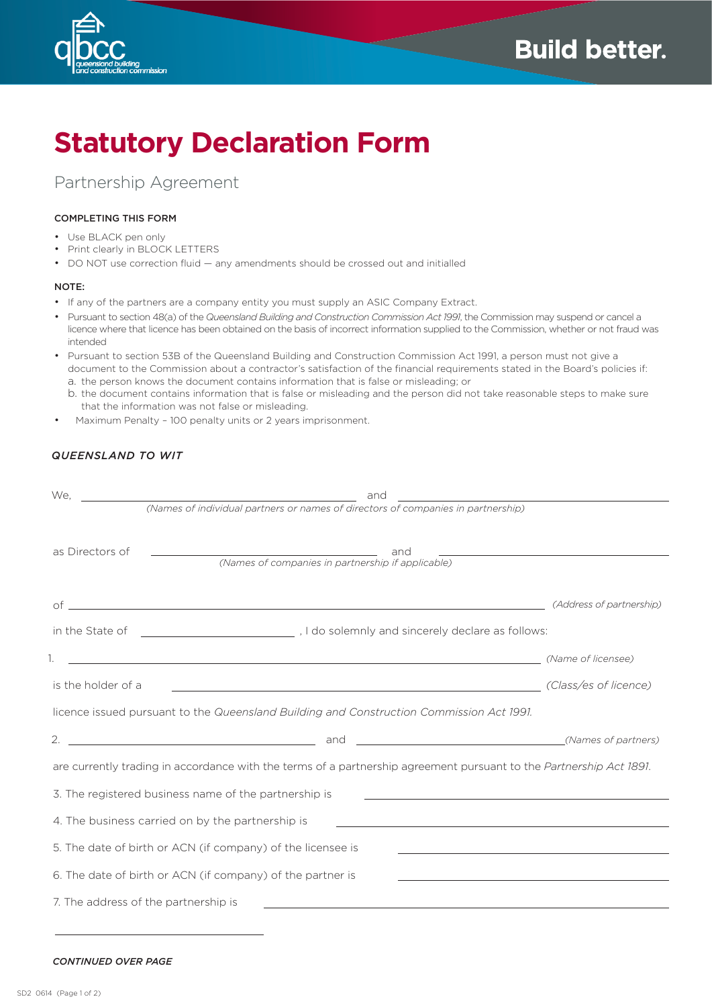

# **Statutory Declaration Form**

Partnership Agreement

### COMPLETING THIS FORM

- • Use BLACK pen only
- • Print clearly in BLOCK LETTERS
- DO NOT use correction fluid any amendments should be crossed out and initialled

#### NOTE:

- If any of the partners are a company entity you must supply an ASIC Company Extract.
- • Pursuant to section 48(a) of the *Queensland Building and Construction Commission Act 1991*, the Commission may suspend or cancel a licence where that licence has been obtained on the basis of incorrect information supplied to the Commission, whether or not fraud was intended
- Pursuant to section 53B of the Queensland Building and Construction Commission Act 1991, a person must not give a document to the Commission about a contractor's satisfaction of the financial requirements stated in the Board's policies if:
	- a. the person knows the document contains information that is false or misleading; or
	- b. the document contains information that is false or misleading and the person did not take reasonable steps to make sure that the information was not false or misleading.
- Maximum Penalty 100 penalty units or 2 years imprisonment.

## *QUEENSLAND TO WIT*

| We.                                                                                                                 | and<br><u> 1986 - Jan Stein Stein Stein Stein Stein Stein Stein Stein Stein Stein Stein Stein Stein Stein Stein Stein S</u>                                                                                                    |                          |  |
|---------------------------------------------------------------------------------------------------------------------|--------------------------------------------------------------------------------------------------------------------------------------------------------------------------------------------------------------------------------|--------------------------|--|
|                                                                                                                     | (Names of individual partners or names of directors of companies in partnership)                                                                                                                                               |                          |  |
|                                                                                                                     |                                                                                                                                                                                                                                |                          |  |
| as Directors of                                                                                                     | the control of the control of the control of the control of the control of                                                                                                                                                     |                          |  |
|                                                                                                                     |                                                                                                                                                                                                                                |                          |  |
|                                                                                                                     |                                                                                                                                                                                                                                | (Address of partnership) |  |
|                                                                                                                     |                                                                                                                                                                                                                                |                          |  |
|                                                                                                                     | (Name of licensee) with the contract of the contract of the contract of the contract of the contract of the contract of the contract of the contract of the contract of the contract of the contract of the contract of the co |                          |  |
| is the holder of a                                                                                                  | <u> 1989 - Jan Samuel Barbara, margaret eta biztanleria (h. 1989).</u>                                                                                                                                                         | (Class/es of licence)    |  |
| licence issued pursuant to the Queensland Building and Construction Commission Act 1991.                            |                                                                                                                                                                                                                                |                          |  |
| 2.                                                                                                                  | (Names of partners)                                                                                                                                                                                                            |                          |  |
| are currently trading in accordance with the terms of a partnership agreement pursuant to the Partnership Act 1891. |                                                                                                                                                                                                                                |                          |  |
|                                                                                                                     | 3. The registered business name of the partnership is                                                                                                                                                                          |                          |  |
| 4. The business carried on by the partnership is<br><u> 1980 - Johann Barbara, martxa alemaniar arg</u>             |                                                                                                                                                                                                                                |                          |  |
|                                                                                                                     | 5. The date of birth or ACN (if company) of the licensee is                                                                                                                                                                    |                          |  |
|                                                                                                                     | 6. The date of birth or ACN (if company) of the partner is<br><u> 1989 - Andrea Stadt Britain, amerikansk politik (* 1908)</u>                                                                                                 |                          |  |
| 7. The address of the partnership is                                                                                |                                                                                                                                                                                                                                |                          |  |

#### *CONTINUED OVER PAGE*